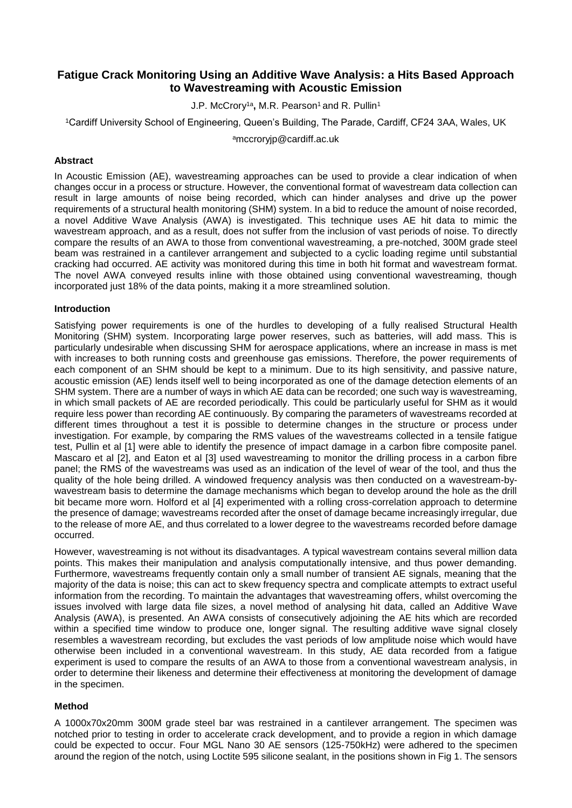# **Fatigue Crack Monitoring Using an Additive Wave Analysis: a Hits Based Approach to Wavestreaming with Acoustic Emission**

J.P. McCrory1a **,** M.R. Pearson<sup>1</sup>and R. Pullin<sup>1</sup>

<sup>1</sup>Cardiff University School of Engineering, Queen's Building, The Parade, Cardiff, CF24 3AA, Wales, UK

<sup>a</sup>mccroryjp@cardiff.ac.uk

## **Abstract**

In Acoustic Emission (AE), wavestreaming approaches can be used to provide a clear indication of when changes occur in a process or structure. However, the conventional format of wavestream data collection can result in large amounts of noise being recorded, which can hinder analyses and drive up the power requirements of a structural health monitoring (SHM) system. In a bid to reduce the amount of noise recorded, a novel Additive Wave Analysis (AWA) is investigated. This technique uses AE hit data to mimic the wavestream approach, and as a result, does not suffer from the inclusion of vast periods of noise. To directly compare the results of an AWA to those from conventional wavestreaming, a pre-notched, 300M grade steel beam was restrained in a cantilever arrangement and subjected to a cyclic loading regime until substantial cracking had occurred. AE activity was monitored during this time in both hit format and wavestream format. The novel AWA conveyed results inline with those obtained using conventional wavestreaming, though incorporated just 18% of the data points, making it a more streamlined solution.

## **Introduction**

Satisfying power requirements is one of the hurdles to developing of a fully realised Structural Health Monitoring (SHM) system. Incorporating large power reserves, such as batteries, will add mass. This is particularly undesirable when discussing SHM for aerospace applications, where an increase in mass is met with increases to both running costs and greenhouse gas emissions. Therefore, the power requirements of each component of an SHM should be kept to a minimum. Due to its high sensitivity, and passive nature, acoustic emission (AE) lends itself well to being incorporated as one of the damage detection elements of an SHM system. There are a number of ways in which AE data can be recorded; one such way is wavestreaming, in which small packets of AE are recorded periodically. This could be particularly useful for SHM as it would require less power than recording AE continuously. By comparing the parameters of wavestreams recorded at different times throughout a test it is possible to determine changes in the structure or process under investigation. For example, by comparing the RMS values of the wavestreams collected in a tensile fatigue test, Pullin et al [1] were able to identify the presence of impact damage in a carbon fibre composite panel. Mascaro et al [2], and Eaton et al [3] used wavestreaming to monitor the drilling process in a carbon fibre panel; the RMS of the wavestreams was used as an indication of the level of wear of the tool, and thus the quality of the hole being drilled. A windowed frequency analysis was then conducted on a wavestream-bywavestream basis to determine the damage mechanisms which began to develop around the hole as the drill bit became more worn. Holford et al [4] experimented with a rolling cross-correlation approach to determine the presence of damage; wavestreams recorded after the onset of damage became increasingly irregular, due to the release of more AE, and thus correlated to a lower degree to the wavestreams recorded before damage occurred.

However, wavestreaming is not without its disadvantages. A typical wavestream contains several million data points. This makes their manipulation and analysis computationally intensive, and thus power demanding. Furthermore, wavestreams frequently contain only a small number of transient AE signals, meaning that the majority of the data is noise; this can act to skew frequency spectra and complicate attempts to extract useful information from the recording. To maintain the advantages that wavestreaming offers, whilst overcoming the issues involved with large data file sizes, a novel method of analysing hit data, called an Additive Wave Analysis (AWA), is presented. An AWA consists of consecutively adjoining the AE hits which are recorded within a specified time window to produce one, longer signal. The resulting additive wave signal closely resembles a wavestream recording, but excludes the vast periods of low amplitude noise which would have otherwise been included in a conventional wavestream. In this study, AE data recorded from a fatigue experiment is used to compare the results of an AWA to those from a conventional wavestream analysis, in order to determine their likeness and determine their effectiveness at monitoring the development of damage in the specimen.

# **Method**

A 1000x70x20mm 300M grade steel bar was restrained in a cantilever arrangement. The specimen was notched prior to testing in order to accelerate crack development, and to provide a region in which damage could be expected to occur. Four MGL Nano 30 AE sensors (125-750kHz) were adhered to the specimen around the region of the notch, using Loctite 595 silicone sealant, in the positions shown in Fig 1. The sensors